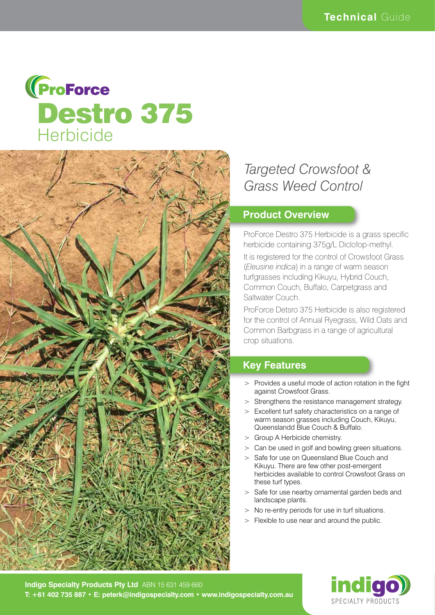



# *Targeted Crowsfoot & Grass Weed Control*

#### **Product Overview**

ProForce Destro 375 Herbicide is a grass specific herbicide containing 375g/L Diclofop-methyl.

It is registered for the control of Crowsfoot Grass (*Eleusine indica*) in a range of warm season turfgrasses including Kikuyu, Hybrid Couch, Common Couch, Buffalo, Carpetgrass and Saltwater Couch.

ProForce Detsro 375 Herbicide is also registered for the control of Annual Ryegrass, Wild Oats and Common Barbgrass in a range of agricultural crop situations.

### **Key Features**

- > Provides a useful mode of action rotation in the fight against Crowsfoot Grass.
- > Strengthens the resistance management strategy.
- > Excellent turf safety characteristics on a range of warm season grasses including Couch, Kikuyu, Queenslandd Blue Couch & Buffalo.
- > Group A Herbicide chemistry.
- > Can be used in golf and bowling green situations.
- > Safe for use on Queensland Blue Couch and Kikuyu. There are few other post-emergent herbicides available to control Crowsfoot Grass on these turf types.
- > Safe for use nearby ornamental garden beds and landscape plants.
- > No re-entry periods for use in turf situations.
- > Flexible to use near and around the public.

**Indigo Specialty Products Pty Ltd** ABN 15 631 459 660 **T: +61 402 735 887 • E: peterk@indigospecialty.com • www.indigospecialty.com.au**